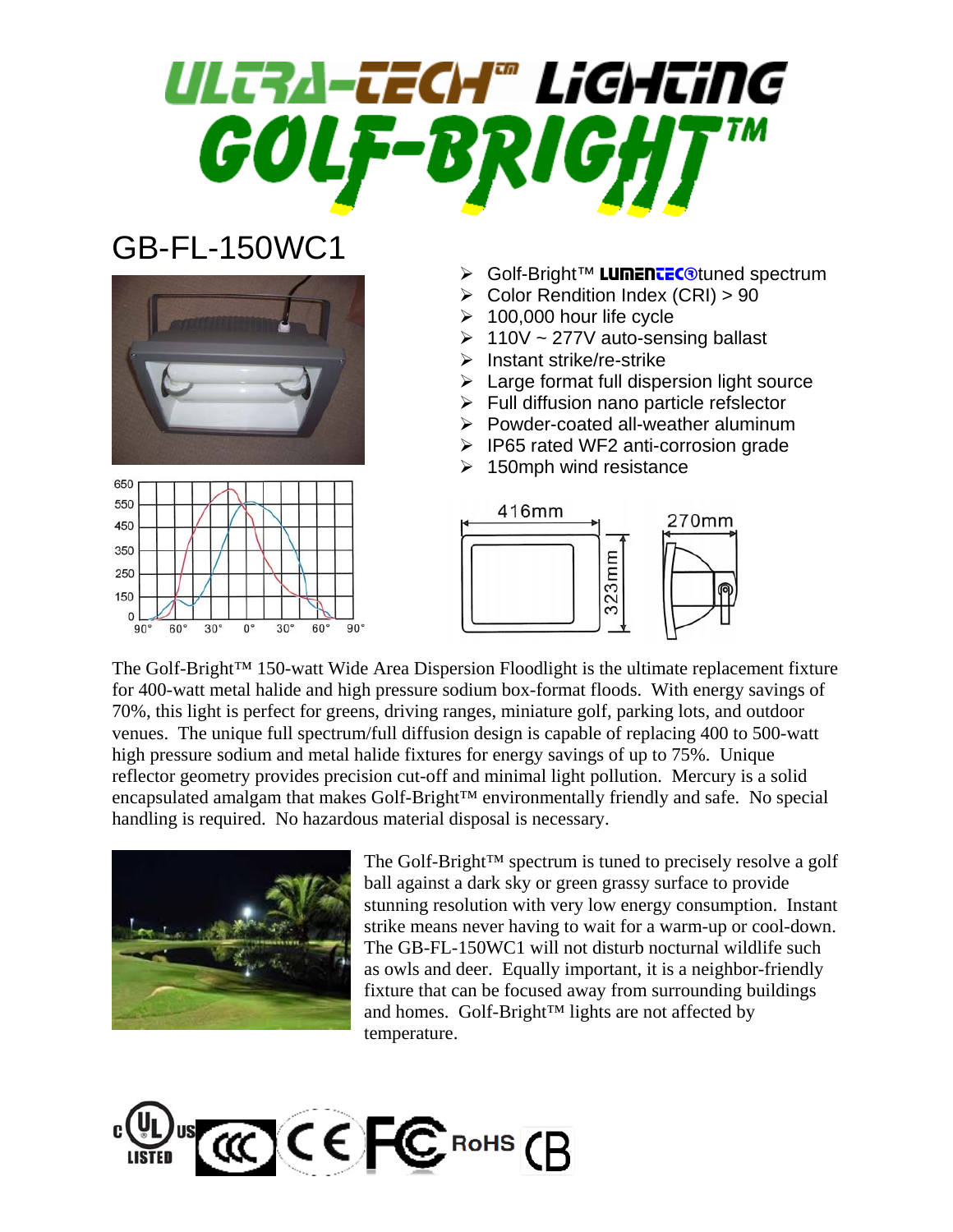## ULTRA-TECH® LiGHTiNG GOLF-

## GB-FL-150WC1





- **≻** Golf-Bright™ LumenteCotuned spectrum
- ¾ Color Rendition Index (CRI) > 90
- $\geq 100,000$  hour life cycle
- $\geq 110V \sim 277V$  auto-sensing ballast
- $\triangleright$  Instant strike/re-strike
- $\triangleright$  Large format full dispersion light source
- $\triangleright$  Full diffusion nano particle refslector
- $\triangleright$  Powder-coated all-weather aluminum
- ¾ IP65 rated WF2 anti-corrosion grade
- $\geq$  150mph wind resistance



The Golf-Bright™ 150-watt Wide Area Dispersion Floodlight is the ultimate replacement fixture for 400-watt metal halide and high pressure sodium box-format floods. With energy savings of 70%, this light is perfect for greens, driving ranges, miniature golf, parking lots, and outdoor venues. The unique full spectrum/full diffusion design is capable of replacing 400 to 500-watt high pressure sodium and metal halide fixtures for energy savings of up to 75%. Unique reflector geometry provides precision cut-off and minimal light pollution. Mercury is a solid encapsulated amalgam that makes Golf-Bright™ environmentally friendly and safe. No special handling is required. No hazardous material disposal is necessary.



The Golf-Bright™ spectrum is tuned to precisely resolve a golf ball against a dark sky or green grassy surface to provide stunning resolution with very low energy consumption. Instant strike means never having to wait for a warm-up or cool-down. The GB-FL-150WC1 will not disturb nocturnal wildlife such as owls and deer. Equally important, it is a neighbor-friendly fixture that can be focused away from surrounding buildings and homes. Golf-Bright™ lights are not affected by temperature.